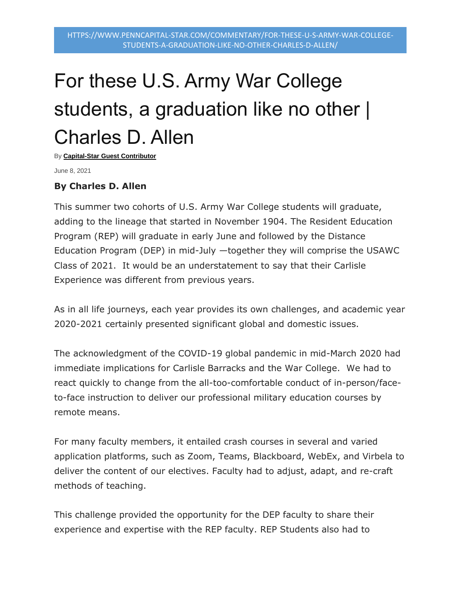## For these U.S. Army War College students, a graduation like no other | Charles D. Allen

By **[Capital-Star Guest Contributor](https://www.penncapital-star.com/author/capital-star-guest-contributor/)**

June 8, 2021

## **By Charles D. Allen**

This summer two cohorts of U.S. Army War College students will graduate, adding to the lineage that started in November 1904. The Resident Education Program (REP) will graduate in early June and followed by the Distance Education Program (DEP) in mid-July —together they will comprise the USAWC Class of 2021. It would be an understatement to say that their Carlisle Experience was different from previous years.

As in all life journeys, each year provides its own challenges, and academic year 2020-2021 certainly presented significant global and domestic issues.

The acknowledgment of the COVID-19 global pandemic in mid-March 2020 had immediate implications for Carlisle Barracks and the War College. We had to react quickly to change from the all-too-comfortable conduct of in-person/faceto-face instruction to deliver our professional military education courses by remote means.

For many faculty members, it entailed crash courses in several and varied application platforms, such as Zoom, Teams, Blackboard, WebEx, and Virbela to deliver the content of our electives. Faculty had to adjust, adapt, and re-craft methods of teaching.

This challenge provided the opportunity for the DEP faculty to share their experience and expertise with the REP faculty. REP Students also had to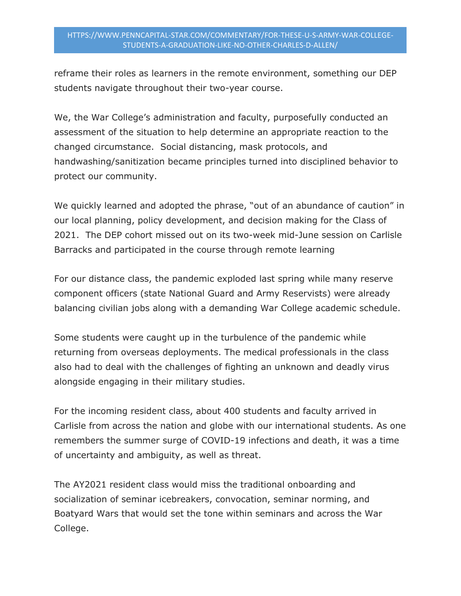## HTTPS://WWW.PENNCAPITAL-STAR.COM/COMMENTARY/FOR-THESE-U-S-ARMY-WAR-COLLEGE-STUDENTS-A-GRADUATION-LIKE-NO-OTHER-CHARLES-D-ALLEN/

reframe their roles as learners in the remote environment, something our DEP students navigate throughout their two-year course.

We, the War College's administration and faculty, purposefully conducted an assessment of the situation to help determine an appropriate reaction to the changed circumstance. Social distancing, mask protocols, and handwashing/sanitization became principles turned into disciplined behavior to protect our community.

We quickly learned and adopted the phrase, "out of an abundance of caution" in our local planning, policy development, and decision making for the Class of 2021. The DEP cohort missed out on its two-week mid-June session on Carlisle Barracks and participated in the course through remote learning

For our distance class, the pandemic exploded last spring while many reserve component officers (state National Guard and Army Reservists) were already balancing civilian jobs along with a demanding War College academic schedule.

Some students were caught up in the turbulence of the pandemic while returning from overseas deployments. The medical professionals in the class also had to deal with the challenges of fighting an unknown and deadly virus alongside engaging in their military studies.

For the incoming resident class, about 400 students and faculty arrived in Carlisle from across the nation and globe with our international students. As one remembers the summer surge of COVID-19 infections and death, it was a time of uncertainty and ambiguity, as well as threat.

The AY2021 resident class would miss the traditional onboarding and socialization of seminar icebreakers, convocation, seminar norming, and Boatyard Wars that would set the tone within seminars and across the War College.